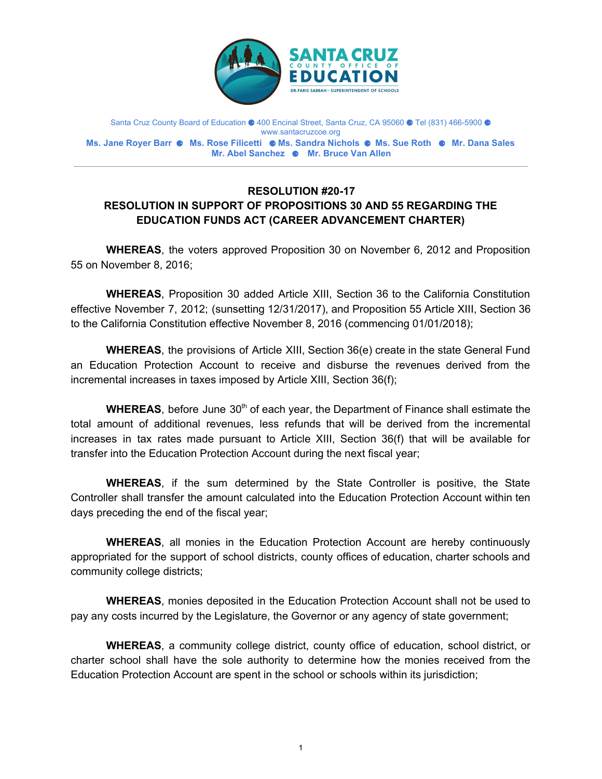

Santa Cruz County Board of Education ● 400 Encinal Street, Santa Cruz, CA 95060 ● Tel (831) 466-5900 ● www.santacruzcoe.org **Ms. Jane Royer Barr** ⚈ **Ms. Rose Filicetti** ⚈ **Ms. Sandra Nichols** ⚈ **Ms. Sue Roth** ⚈ **Mr. Dana Sales Mr. Abel Sanchez** ⚈ **Mr. Bruce Van Allen**

## **RESOLUTION #20-17 RESOLUTION IN SUPPORT OF PROPOSITIONS 30 AND 55 REGARDING THE EDUCATION FUNDS ACT (CAREER ADVANCEMENT CHARTER)**

**WHEREAS**, the voters approved Proposition 30 on November 6, 2012 and Proposition 55 on November 8, 2016;

**WHEREAS**, Proposition 30 added Article XIII, Section 36 to the California Constitution effective November 7, 2012; (sunsetting 12/31/2017), and Proposition 55 Article XIII, Section 36 to the California Constitution effective November 8, 2016 (commencing 01/01/2018);

**WHEREAS**, the provisions of Article XIII, Section 36(e) create in the state General Fund an Education Protection Account to receive and disburse the revenues derived from the incremental increases in taxes imposed by Article XIII, Section 36(f);

**WHEREAS**, before June 30<sup>th</sup> of each year, the Department of Finance shall estimate the total amount of additional revenues, less refunds that will be derived from the incremental increases in tax rates made pursuant to Article XIII, Section 36(f) that will be available for transfer into the Education Protection Account during the next fiscal year;

**WHEREAS**, if the sum determined by the State Controller is positive, the State Controller shall transfer the amount calculated into the Education Protection Account within ten days preceding the end of the fiscal year;

**WHEREAS**, all monies in the Education Protection Account are hereby continuously appropriated for the support of school districts, county offices of education, charter schools and community college districts;

**WHEREAS**, monies deposited in the Education Protection Account shall not be used to pay any costs incurred by the Legislature, the Governor or any agency of state government;

**WHEREAS**, a community college district, county office of education, school district, or charter school shall have the sole authority to determine how the monies received from the Education Protection Account are spent in the school or schools within its jurisdiction;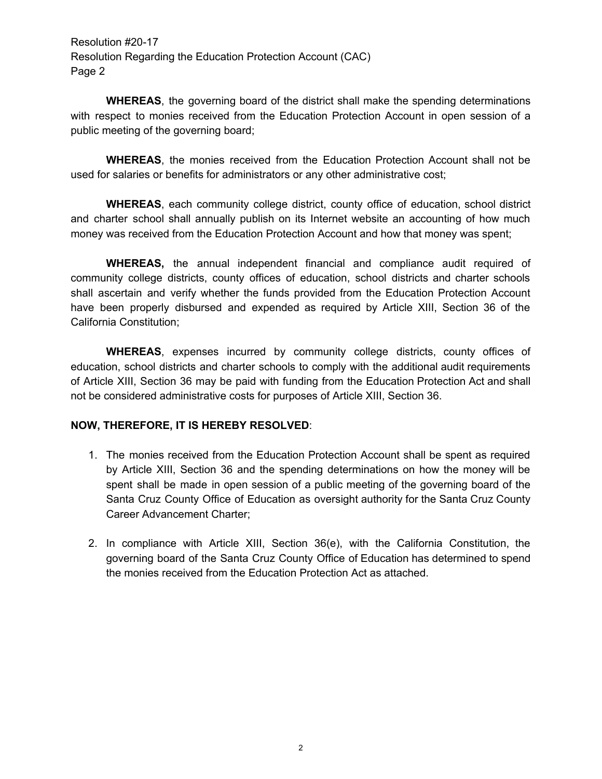Resolution #20-17 Resolution Regarding the Education Protection Account (CAC) Page 2

**WHEREAS**, the governing board of the district shall make the spending determinations with respect to monies received from the Education Protection Account in open session of a public meeting of the governing board;

**WHEREAS**, the monies received from the Education Protection Account shall not be used for salaries or benefits for administrators or any other administrative cost;

**WHEREAS**, each community college district, county office of education, school district and charter school shall annually publish on its Internet website an accounting of how much money was received from the Education Protection Account and how that money was spent;

**WHEREAS,** the annual independent financial and compliance audit required of community college districts, county offices of education, school districts and charter schools shall ascertain and verify whether the funds provided from the Education Protection Account have been properly disbursed and expended as required by Article XIII, Section 36 of the California Constitution;

**WHEREAS**, expenses incurred by community college districts, county offices of education, school districts and charter schools to comply with the additional audit requirements of Article XIII, Section 36 may be paid with funding from the Education Protection Act and shall not be considered administrative costs for purposes of Article XIII, Section 36.

## **NOW, THEREFORE, IT IS HEREBY RESOLVED**:

- 1. The monies received from the Education Protection Account shall be spent as required by Article XIII, Section 36 and the spending determinations on how the money will be spent shall be made in open session of a public meeting of the governing board of the Santa Cruz County Office of Education as oversight authority for the Santa Cruz County Career Advancement Charter;
- 2. In compliance with Article XIII, Section 36(e), with the California Constitution, the governing board of the Santa Cruz County Office of Education has determined to spend the monies received from the Education Protection Act as attached.